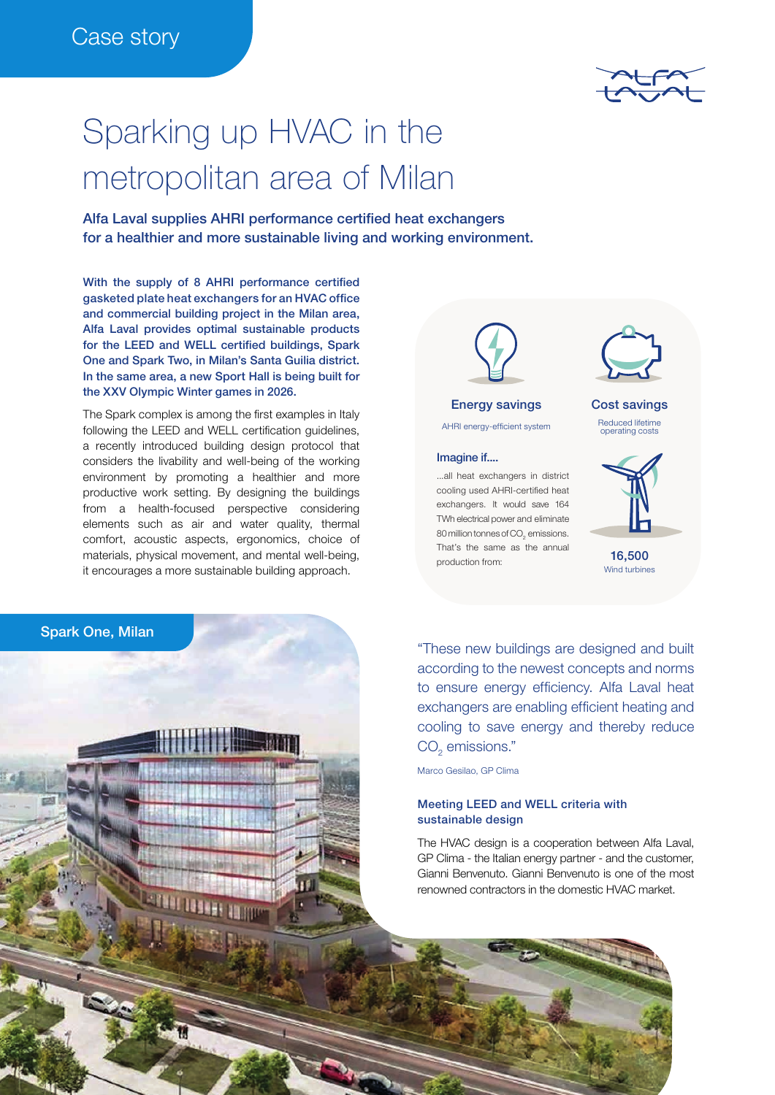

# Sparking up HVAC in the metropolitan area of Milan

Alfa Laval supplies AHRI performance certified heat exchangers for a healthier and more sustainable living and working environment.

With the supply of 8 AHRI performance certified gasketed plate heat exchangers for an HVAC office and commercial building project in the Milan area, Alfa Laval provides optimal sustainable products for the LEED and WELL certified buildings, Spark One and Spark Two, in Milan's Santa Guilia district. In the same area, a new Sport Hall is being built for the XXV Olympic Winter games in 2026.

The Spark complex is among the first examples in Italy following the LEED and WELL certification guidelines, a recently introduced building design protocol that considers the livability and well-being of the working environment by promoting a healthier and more productive work setting. By designing the buildings from a health-focused perspective considering elements such as air and water quality, thermal comfort, acoustic aspects, ergonomics, choice of materials, physical movement, and mental well-being, it encourages a more sustainable building approach.





Energy savings AHRI energy-efficient system

#### Imagine if....

...all heat exchangers in district cooling used AHRI-certified heat exchangers. It would save 164 TWh electrical power and eliminate 80 million tonnes of CO<sub>2</sub> emissions. That's the same as the annual production from:



Cost savings Reduced lifetime operating costs



16,500 Wind turbines

"These new buildings are designed and built according to the newest concepts and norms to ensure energy efficiency. Alfa Laval heat exchangers are enabling efficient heating and cooling to save energy and thereby reduce  $CO<sub>2</sub>$  emissions."

Marco Gesilao, GP Clima

# Meeting LEED and WELL criteria with sustainable design

The HVAC design is a cooperation between Alfa Laval, GP Clima - the Italian energy partner - and the customer, Gianni Benvenuto. Gianni Benvenuto is one of the most renowned contractors in the domestic HVAC market.